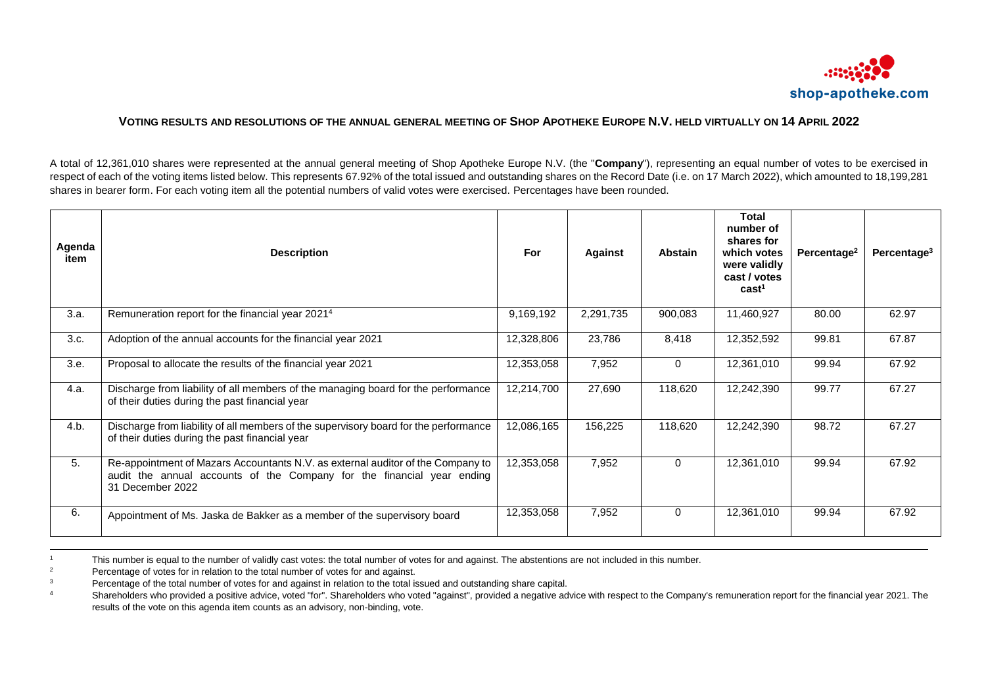

## VOTING RESULTS AND RESOLUTIONS OF THE ANNUAL GENERAL MEETING OF SHOP APOTHEKE EUROPE N.V. HELD VIRTUALLY ON 14 APRIL 2022

A total of 12,361,010 shares were represented at the annual general meeting of Shop Apotheke Europe N.V. (the "**Company**"), representing an equal number of votes to be exercised in respect of each of the voting items listed below. This represents 67.92% of the total issued and outstanding shares on the Record Date (i.e. on 17 March 2022), which amounted to 18,199,281 shares in bearer form. For each voting item all the potential numbers of valid votes were exercised. Percentages have been rounded.

| Agenda<br>item | <b>Description</b>                                                                                                                                                            | For        | <b>Against</b> | Abstain     | <b>Total</b><br>number of<br>shares for<br>which votes<br>were validly<br>cast / votes<br>cast <sup>1</sup> | Percentage <sup>2</sup> | Percentage <sup>3</sup> |
|----------------|-------------------------------------------------------------------------------------------------------------------------------------------------------------------------------|------------|----------------|-------------|-------------------------------------------------------------------------------------------------------------|-------------------------|-------------------------|
| 3.a.           | Remuneration report for the financial year 2021 <sup>4</sup>                                                                                                                  | 9,169,192  | 2,291,735      | 900,083     | 11,460,927                                                                                                  | 80.00                   | 62.97                   |
| 3.c.           | Adoption of the annual accounts for the financial year 2021                                                                                                                   | 12,328,806 | 23,786         | 8,418       | 12,352,592                                                                                                  | 99.81                   | 67.87                   |
| 3.e.           | Proposal to allocate the results of the financial year 2021                                                                                                                   | 12,353,058 | 7,952          | $\mathbf 0$ | 12,361,010                                                                                                  | 99.94                   | 67.92                   |
| 4.a.           | Discharge from liability of all members of the managing board for the performance<br>of their duties during the past financial year                                           | 12,214,700 | 27,690         | 118,620     | 12,242,390                                                                                                  | 99.77                   | 67.27                   |
| 4.b.           | Discharge from liability of all members of the supervisory board for the performance<br>of their duties during the past financial year                                        | 12,086,165 | 156,225        | 118,620     | 12,242,390                                                                                                  | 98.72                   | 67.27                   |
| 5.             | Re-appointment of Mazars Accountants N.V. as external auditor of the Company to<br>audit the annual accounts of the Company for the financial year ending<br>31 December 2022 | 12,353,058 | 7,952          | $\Omega$    | 12,361,010                                                                                                  | 99.94                   | 67.92                   |
| 6.             | Appointment of Ms. Jaska de Bakker as a member of the supervisory board                                                                                                       | 12,353,058 | 7,952          | $\Omega$    | 12,361,010                                                                                                  | 99.94                   | 67.92                   |

<sup>1</sup> This number is equal to the number of validly cast votes: the total number of votes for and against. The abstentions are not included in this number.<br>Percentage of votes for in relation to the total number of votes for

<sup>2</sup><br>Percentage of votes for in relation to the total number of votes for and against.

l

<sup>3</sup> Percentage of the total number of votes for and against in relation to the total issued and outstanding share capital.<br><sup>4</sup> Shareholders who provided a positive advice, voted "for". Shareholders who voted "against", pro

Shareholders who provided a positive advice, voted "for". Shareholders who voted "against", provided a negative advice with respect to the Company's remuneration report for the financial year 2021. The results of the vote on this agenda item counts as an advisory, non-binding, vote.